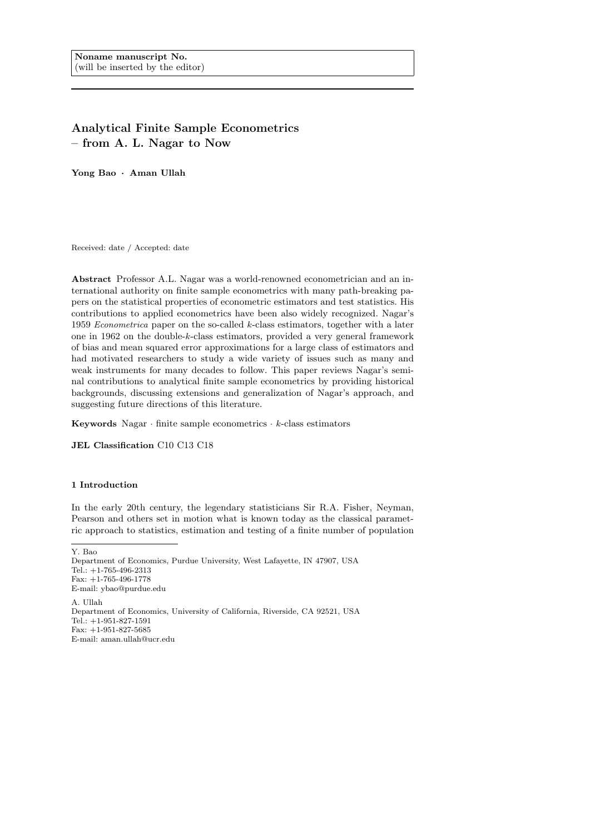# Analytical Finite Sample Econometrics – from A. L. Nagar to Now

Yong Bao · Aman Ullah

Received: date / Accepted: date

Abstract Professor A.L. Nagar was a world-renowned econometrician and an international authority on finite sample econometrics with many path-breaking papers on the statistical properties of econometric estimators and test statistics. His contributions to applied econometrics have been also widely recognized. Nagar's 1959 Econometrica paper on the so-called k-class estimators, together with a later one in 1962 on the double-k-class estimators, provided a very general framework of bias and mean squared error approximations for a large class of estimators and had motivated researchers to study a wide variety of issues such as many and weak instruments for many decades to follow. This paper reviews Nagar's seminal contributions to analytical finite sample econometrics by providing historical backgrounds, discussing extensions and generalization of Nagar's approach, and suggesting future directions of this literature.

Keywords Nagar  $\cdot$  finite sample econometrics  $\cdot$  k-class estimators

JEL Classification C10 C13 C18

# 1 Introduction

In the early 20th century, the legendary statisticians Sir R.A. Fisher, Neyman, Pearson and others set in motion what is known today as the classical parametric approach to statistics, estimation and testing of a finite number of population

Y. Bao Department of Economics, Purdue University, West Lafayette, IN 47907, USA Tel.: +1-765-496-2313 Fax: +1-765-496-1778 E-mail: ybao@purdue.edu A. Ullah Department of Economics, University of California, Riverside, CA 92521, USA  $Tel: +1-951-827-1591$ Fax: +1-951-827-5685 E-mail: aman.ullah@ucr.edu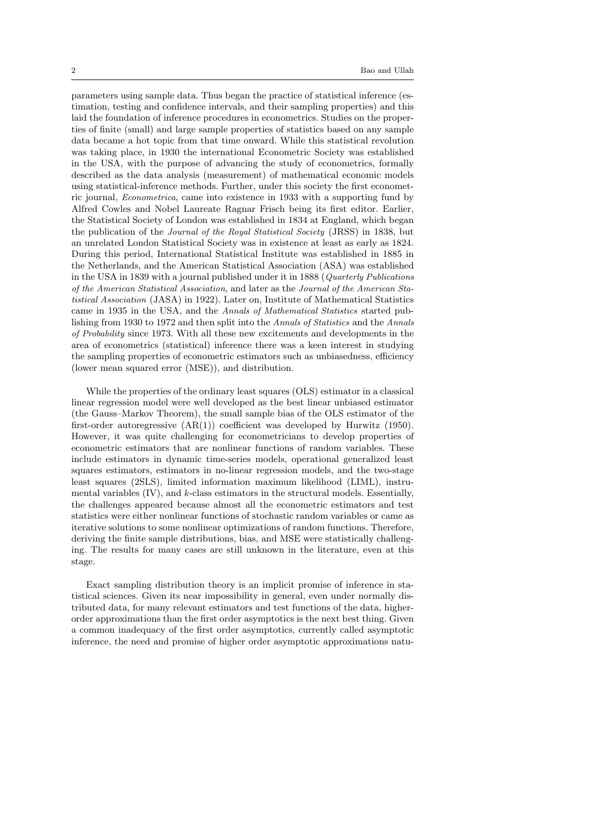parameters using sample data. Thus began the practice of statistical inference (estimation, testing and confidence intervals, and their sampling properties) and this laid the foundation of inference procedures in econometrics. Studies on the properties of finite (small) and large sample properties of statistics based on any sample data became a hot topic from that time onward. While this statistical revolution was taking place, in 1930 the international Econometric Society was established in the USA, with the purpose of advancing the study of econometrics, formally described as the data analysis (measurement) of mathematical economic models using statistical-inference methods. Further, under this society the first econometric journal, Econometrica, came into existence in 1933 with a supporting fund by Alfred Cowles and Nobel Laureate Ragnar Frisch being its first editor. Earlier, the Statistical Society of London was established in 1834 at England, which began the publication of the Journal of the Royal Statistical Society (JRSS) in 1838, but an unrelated London Statistical Society was in existence at least as early as 1824. During this period, International Statistical Institute was established in 1885 in the Netherlands, and the American Statistical Association (ASA) was established in the USA in 1839 with a journal published under it in 1888 (Quarterly Publications of the American Statistical Association, and later as the Journal of the American Statistical Association (JASA) in 1922). Later on, Institute of Mathematical Statistics came in 1935 in the USA, and the Annals of Mathematical Statistics started publishing from 1930 to 1972 and then split into the Annals of Statistics and the Annals of Probability since 1973. With all these new excitements and developments in the area of econometrics (statistical) inference there was a keen interest in studying the sampling properties of econometric estimators such as unbiasedness, efficiency (lower mean squared error (MSE)), and distribution.

While the properties of the ordinary least squares (OLS) estimator in a classical linear regression model were well developed as the best linear unbiased estimator (the Gauss–Markov Theorem), the small sample bias of the OLS estimator of the first-order autoregressive  $(AR(1))$  coefficient was developed by Hurwitz (1950). However, it was quite challenging for econometricians to develop properties of econometric estimators that are nonlinear functions of random variables. These include estimators in dynamic time-series models, operational generalized least squares estimators, estimators in no-linear regression models, and the two-stage least squares (2SLS), limited information maximum likelihood (LIML), instrumental variables  $(IV)$ , and  $k$ -class estimators in the structural models. Essentially, the challenges appeared because almost all the econometric estimators and test statistics were either nonlinear functions of stochastic random variables or came as iterative solutions to some nonlinear optimizations of random functions. Therefore, deriving the finite sample distributions, bias, and MSE were statistically challenging. The results for many cases are still unknown in the literature, even at this stage.

Exact sampling distribution theory is an implicit promise of inference in statistical sciences. Given its near impossibility in general, even under normally distributed data, for many relevant estimators and test functions of the data, higherorder approximations than the first order asymptotics is the next best thing. Given a common inadequacy of the first order asymptotics, currently called asymptotic inference, the need and promise of higher order asymptotic approximations natu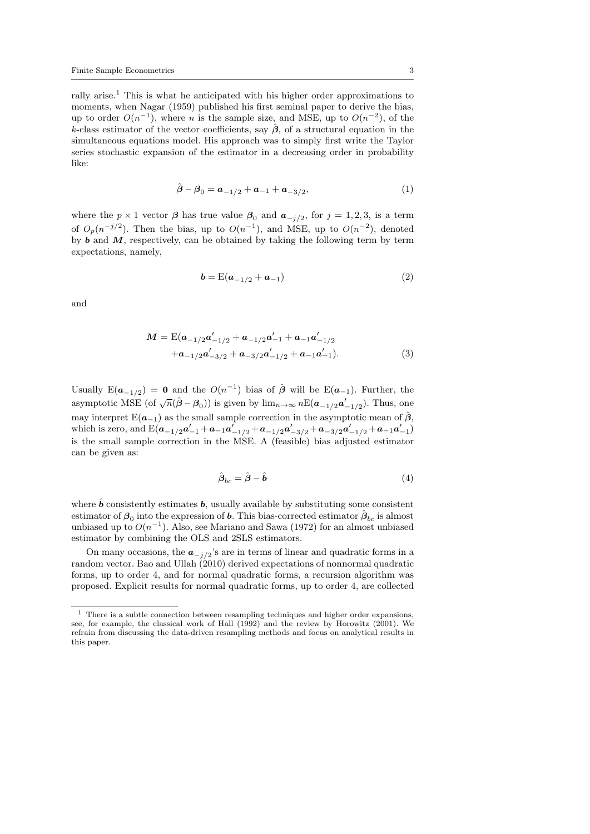rally arise.<sup>1</sup> This is what he anticipated with his higher order approximations to moments, when Nagar (1959) published his first seminal paper to derive the bias, up to order  $O(n^{-1})$ , where *n* is the sample size, and MSE, up to  $O(n^{-2})$ , of the k-class estimator of the vector coefficients, say  $\hat{\beta}$ , of a structural equation in the simultaneous equations model. His approach was to simply first write the Taylor series stochastic expansion of the estimator in a decreasing order in probability like:

$$
\hat{\boldsymbol{\beta}} - \boldsymbol{\beta}_0 = \boldsymbol{a}_{-1/2} + \boldsymbol{a}_{-1} + \boldsymbol{a}_{-3/2},\tag{1}
$$

where the  $p \times 1$  vector  $\beta$  has true value  $\beta_0$  and  $a_{-j/2}$ , for  $j = 1, 2, 3$ , is a term of  $O_p(n^{-j/2})$ . Then the bias, up to  $O(n^{-1})$ , and MSE, up to  $O(n^{-2})$ , denoted by  $\boldsymbol{b}$  and  $\boldsymbol{M}$ , respectively, can be obtained by taking the following term by term expectations, namely,

$$
b = E(a_{-1/2} + a_{-1})
$$
 (2)

and

$$
M = \mathcal{E}(a_{-1/2}a'_{-1/2} + a_{-1/2}a'_{-1} + a_{-1}a'_{-1/2}
$$
  
+ $a_{-1/2}a'_{-3/2} + a_{-3/2}a'_{-1/2} + a_{-1}a'_{-1}).$  (3)

Usually  $E(a_{-1/2}) = 0$  and the  $O(n^{-1})$  bias of  $\hat{\beta}$  will be  $E(a_{-1})$ . Further, the asymptotic MSE (of  $\sqrt{n}(\hat{\beta} - \beta_0)$ ) is given by  $\lim_{n \to \infty} nE(a_{-1/2}a'_{-1/2})$ . Thus, one may interpret  $E(a_{-1})$  as the small sample correction in the asymptotic mean of  $\hat{\beta}$ , which is zero, and  $\text{E}(\bm{a}_{-1/2}\bm{a}_{-1}' + \bm{a}_{-1}\bm{a}_{-1/2}' + \bm{a}_{-1/2}\bm{a}_{-3/2}' + \bm{a}_{-3/2}\bm{a}_{-1/2}' + \bm{a}_{-1}\bm{a}_{-1}')$ is the small sample correction in the MSE. A (feasible) bias adjusted estimator can be given as:

$$
\hat{\boldsymbol{\beta}}_{bc} = \hat{\boldsymbol{\beta}} - \hat{\boldsymbol{b}} \tag{4}
$$

where  $\hat{b}$  consistently estimates b, usually available by substituting some consistent estimator of  $\beta_0$  into the expression of **b**. This bias-corrected estimator  $\hat{\beta}_{bc}$  is almost unbiased up to  $O(n^{-1})$ . Also, see Mariano and Sawa (1972) for an almost unbiased estimator by combining the OLS and 2SLS estimators.

On many occasions, the  $a_{-j/2}$ 's are in terms of linear and quadratic forms in a random vector. Bao and Ullah (2010) derived expectations of nonnormal quadratic forms, up to order 4, and for normal quadratic forms, a recursion algorithm was proposed. Explicit results for normal quadratic forms, up to order 4, are collected

 $1$  There is a subtle connection between resampling techniques and higher order expansions, see, for example, the classical work of Hall (1992) and the review by Horowitz (2001). We refrain from discussing the data-driven resampling methods and focus on analytical results in this paper.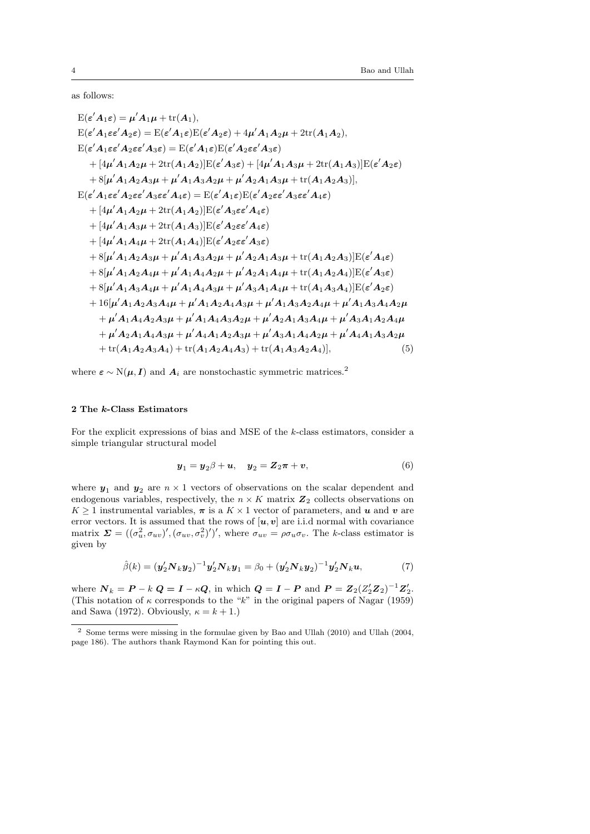as follows:

$$
E(\varepsilon' A_1 \varepsilon) = \mu' A_1 \mu + \text{tr}(A_1),
$$
  
\n
$$
E(\varepsilon' A_1 \varepsilon \varepsilon' A_2 \varepsilon) = E(\varepsilon' A_1 \varepsilon) E(\varepsilon' A_2 \varepsilon) + 4\mu' A_1 A_2 \mu + 2 \text{tr}(A_1 A_2),
$$
  
\n
$$
E(\varepsilon' A_1 \varepsilon \varepsilon' A_2 \varepsilon \varepsilon' A_3 \varepsilon) = E(\varepsilon' A_1 \varepsilon) E(\varepsilon' A_2 \varepsilon \varepsilon' A_3 \varepsilon)
$$
  
\n
$$
+ [4\mu' A_1 A_2 \mu + 2 \text{tr}(A_1 A_2)] E(\varepsilon' A_3 \varepsilon) + [4\mu' A_1 A_3 \mu + 2 \text{tr}(A_1 A_3)] E(\varepsilon' A_2 \varepsilon)
$$
  
\n
$$
+ 8[\mu' A_1 A_2 A_3 \mu + \mu' A_1 A_3 A_2 \mu + \mu' A_2 A_1 A_3 \mu + \text{tr}(A_1 A_2 A_3)],
$$
  
\n
$$
E(\varepsilon' A_1 \varepsilon \varepsilon' A_2 \varepsilon \varepsilon' A_3 \varepsilon \varepsilon' A_4 \varepsilon) = E(\varepsilon' A_1 \varepsilon) E(\varepsilon' A_2 \varepsilon \varepsilon' A_3 \varepsilon' A_4 \varepsilon)
$$
  
\n
$$
+ [4\mu' A_1 A_3 \mu + 2 \text{tr}(A_1 A_3)] E(\varepsilon' A_2 \varepsilon \varepsilon' A_4 \varepsilon)
$$
  
\n
$$
+ [4\mu' A_1 A_4 \mu + 2 \text{tr}(A_1 A_3)] E(\varepsilon' A_2 \varepsilon \varepsilon' A_3 \varepsilon)
$$
  
\n
$$
+ 8[\mu' A_1 A_2 A_3 \mu + \mu' A_1 A_3 A_2 \mu + \mu' A_2 A_1 A_3 \mu + \text{tr}(A_1 A_2 A_3)] E(\varepsilon' A_4 \varepsilon)
$$
  
\n
$$
+ 8[\mu' A_1 A_2 A_3 \mu + \mu' A_1 A_
$$

where  $\varepsilon \sim N(\mu, I)$  and  $A_i$  are nonstochastic symmetric matrices.<sup>2</sup>

# 2 The k-Class Estimators

For the explicit expressions of bias and MSE of the k-class estimators, consider a simple triangular structural model

$$
\boldsymbol{y}_1 = \boldsymbol{y}_2 \beta + \boldsymbol{u}, \quad \boldsymbol{y}_2 = \boldsymbol{Z}_2 \boldsymbol{\pi} + \boldsymbol{v}, \tag{6}
$$

where  $y_1$  and  $y_2$  are  $n \times 1$  vectors of observations on the scalar dependent and endogenous variables, respectively, the  $n \times K$  matrix  $\mathbb{Z}_2$  collects observations on  $K \geq 1$  instrumental variables,  $\pi$  is a  $K \times 1$  vector of parameters, and u and v are error vectors. It is assumed that the rows of  $[u, v]$  are i.i.d normal with covariance matrix  $\Sigma = ((\sigma_u^2, \sigma_{uv})', (\sigma_{uv}, \sigma_v^2)')'$ , where  $\sigma_{uv} = \rho \sigma_u \sigma_v$ . The k-class estimator is given by

$$
\hat{\beta}(k) = (\mathbf{y}_2' \mathbf{N}_k \mathbf{y}_2)^{-1} \mathbf{y}_2' \mathbf{N}_k \mathbf{y}_1 = \beta_0 + (\mathbf{y}_2' \mathbf{N}_k \mathbf{y}_2)^{-1} \mathbf{y}_2' \mathbf{N}_k \mathbf{u},\tag{7}
$$

where  $N_k = P - k \ Q = I - \kappa Q$ , in which  $Q = I - P$  and  $P = Z_2 (Z_2' Z_2)^{-1} Z_2'$ . (This notation of  $\kappa$  corresponds to the "k" in the original papers of Nagar (1959) and Sawa (1972). Obviously,  $\kappa = k + 1$ .)

 Some terms were missing in the formulae given by Bao and Ullah (2010) and Ullah (2004, page 186). The authors thank Raymond Kan for pointing this out.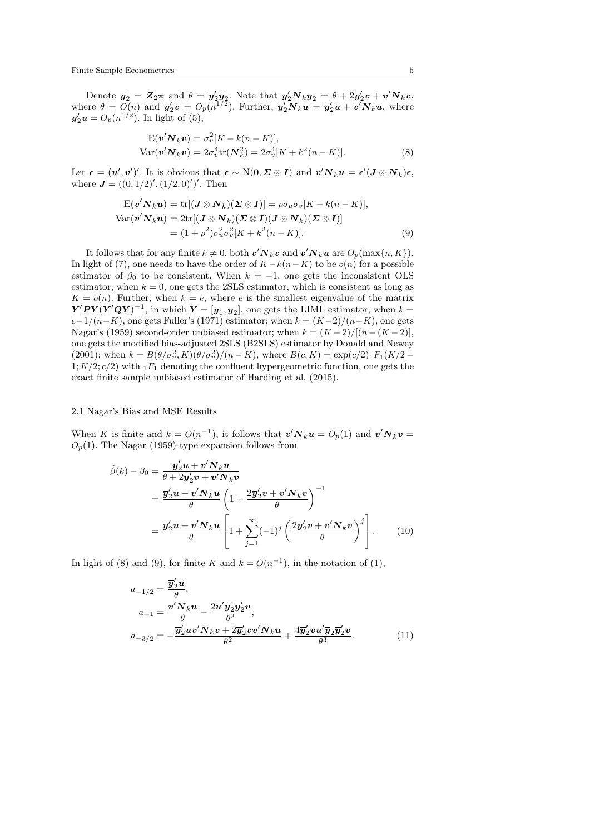Denote  $\bar{y}_2 = Z_2\pi$  and  $\theta = \bar{y}_2'\bar{y}_2$ . Note that  $y_2'N_ky_2 = \theta + 2\bar{y}_2'v + v'N_kv$ , where  $\theta = O(n)$  and  $\overline{y}_2'v = O_p(n^{1/2})$ . Further,  $y_2'N_ku = \overline{y}_2'u + v'N_ku$ , where  $\overline{\mathbf{y}}_2' \mathbf{u} = O_p(n^{1/2})$ . In light of (5),

$$
\mathbf{E}(\mathbf{v}'\mathbf{N}_k\mathbf{v}) = \sigma_v^2[K - k(n - K)],
$$
  
\n
$$
\text{Var}(\mathbf{v}'\mathbf{N}_k\mathbf{v}) = 2\sigma_v^4 \text{tr}(\mathbf{N}_k^2) = 2\sigma_v^4[K + k^2(n - K)].
$$
\n(8)

Let  $\boldsymbol{\epsilon} = (\boldsymbol{u}', \boldsymbol{v}')'.$  It is obvious that  $\boldsymbol{\epsilon} \sim N(\boldsymbol{0}, \boldsymbol{\Sigma} \otimes \boldsymbol{I})$  and  $\boldsymbol{v}' \boldsymbol{N}_k \boldsymbol{u} = \boldsymbol{\epsilon}' (\boldsymbol{J} \otimes \boldsymbol{N}_k) \boldsymbol{\epsilon},$ where  $J = ((0, 1/2)', (1/2, 0)')'$ . Then

$$
E(\mathbf{v}'\mathbf{N}_k\mathbf{u}) = \text{tr}[(\mathbf{J}\otimes\mathbf{N}_k)(\mathbf{\Sigma}\otimes\mathbf{I})] = \rho\sigma_u\sigma_v[K - k(n - K)],
$$
  
\n
$$
\text{Var}(\mathbf{v}'\mathbf{N}_k\mathbf{u}) = 2\text{tr}[(\mathbf{J}\otimes\mathbf{N}_k)(\mathbf{\Sigma}\otimes\mathbf{I})(\mathbf{J}\otimes\mathbf{N}_k)(\mathbf{\Sigma}\otimes\mathbf{I})]
$$
  
\n
$$
= (1 + \rho^2)\sigma_u^2\sigma_v^2[K + k^2(n - K)].
$$
\n(9)

It follows that for any finite  $k \neq 0$ , both  $\mathbf{v}' \mathbf{N}_k \mathbf{v}$  and  $\mathbf{v}' \mathbf{N}_k \mathbf{u}$  are  $O_p(\max\{n, K\})$ . In light of (7), one needs to have the order of  $K - k(n - K)$  to be  $o(n)$  for a possible estimator of  $\beta_0$  to be consistent. When  $k = -1$ , one gets the inconsistent OLS estimator; when  $k = 0$ , one gets the 2SLS estimator, which is consistent as long as  $K = o(n)$ . Further, when  $k = e$ , where e is the smallest eigenvalue of the matrix  $\mathbf{Y}'\mathbf{P}\mathbf{Y}(\mathbf{Y}'\mathbf{Q}\mathbf{Y})^{-1}$ , in which  $\mathbf{Y} = [\mathbf{y}_1, \mathbf{y}_2]$ , one gets the LIML estimator; when  $k =$  $e-1/(n-K)$ , one gets Fuller's (1971) estimator; when  $k = (K-2)/(n-K)$ , one gets Nagar's (1959) second-order unbiased estimator; when  $k = (K - 2)/[(n - (K - 2)],$ one gets the modified bias-adjusted 2SLS (B2SLS) estimator by Donald and Newey (2001); when  $k = B(\theta/\sigma_v^2, K)(\theta/\sigma_v^2)/(n - K)$ , where  $B(c, K) = \exp(c/2) \cdot 1 \cdot F_1(K/2 - K)$ 1;  $K/2$ ;  $c/2$ ) with  $1F_1$  denoting the confluent hypergeometric function, one gets the exact finite sample unbiased estimator of Harding et al. (2015).

## 2.1 Nagar's Bias and MSE Results

When K is finite and  $k = O(n^{-1})$ , it follows that  $v'N_ku = O_p(1)$  and  $v'N_kv =$  $O_p(1)$ . The Nagar (1959)-type expansion follows from

$$
\hat{\beta}(k) - \beta_0 = \frac{\overline{\mathbf{y}}_2' \mathbf{u} + \mathbf{v}' \mathbf{N}_k \mathbf{u}}{\theta + 2\overline{\mathbf{y}}_2' \mathbf{v} + \mathbf{v}' \mathbf{N}_k \mathbf{v}} \n= \frac{\overline{\mathbf{y}}_2' \mathbf{u} + \mathbf{v}' \mathbf{N}_k \mathbf{u}}{\theta} \left( 1 + \frac{2\overline{\mathbf{y}}_2' \mathbf{v} + \mathbf{v}' \mathbf{N}_k \mathbf{v}}{\theta} \right)^{-1} \n= \frac{\overline{\mathbf{y}}_2' \mathbf{u} + \mathbf{v}' \mathbf{N}_k \mathbf{u}}{\theta} \left[ 1 + \sum_{j=1}^{\infty} (-1)^j \left( \frac{2\overline{\mathbf{y}}_2' \mathbf{v} + \mathbf{v}' \mathbf{N}_k \mathbf{v}}{\theta} \right)^j \right].
$$
\n(10)

In light of (8) and (9), for finite K and  $k = O(n^{-1})$ , in the notation of (1),

$$
a_{-1/2} = \frac{\overline{y}_2' u}{\theta},
$$
  
\n
$$
a_{-1} = \frac{v' N_k u}{\theta} - \frac{2u' \overline{y}_2 \overline{y}_2' v}{\theta^2},
$$
  
\n
$$
a_{-3/2} = -\frac{\overline{y}_2' u v' N_k v + 2 \overline{y}_2' v v' N_k u}{\theta^2} + \frac{4 \overline{y}_2' v u' \overline{y}_2 \overline{y}_2' v}{\theta^3}.
$$
\n(11)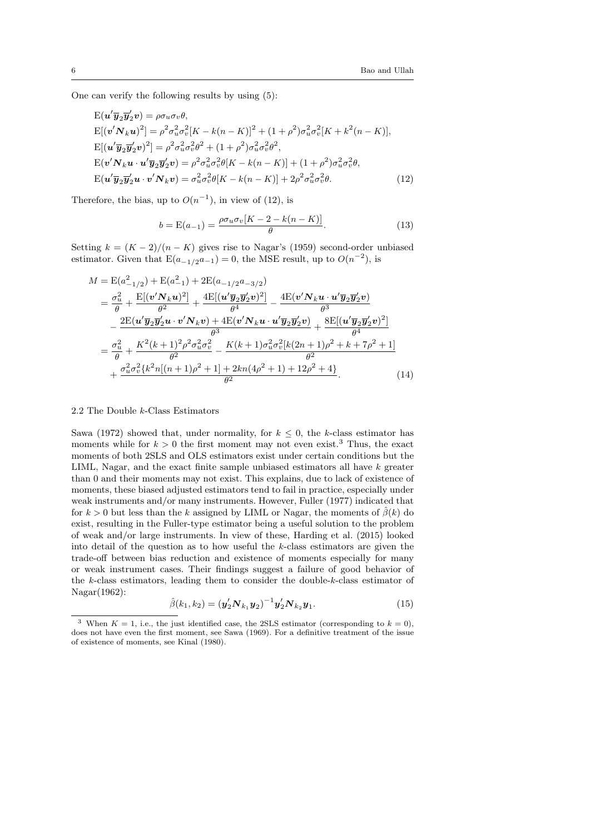One can verify the following results by using (5):

$$
E(\mathbf{u}'\overline{\mathbf{y}}_2\overline{\mathbf{y}}_2'\mathbf{v}) = \rho \sigma_u \sigma_v \theta,
$$
  
\n
$$
E[(\mathbf{v}'N_k\mathbf{u})^2] = \rho^2 \sigma_u^2 \sigma_v^2 [K - k(n - K)]^2 + (1 + \rho^2) \sigma_u^2 \sigma_v^2 [K + k^2(n - K)],
$$
  
\n
$$
E[(\mathbf{u}'\overline{\mathbf{y}}_2\overline{\mathbf{y}}_2'\mathbf{v})^2] = \rho^2 \sigma_u^2 \sigma_v^2 \theta^2 + (1 + \rho^2) \sigma_u^2 \sigma_v^2 \theta^2,
$$
  
\n
$$
E(\mathbf{v}'N_k\mathbf{u} \cdot \mathbf{u}'\overline{\mathbf{y}}_2\overline{\mathbf{y}}_2'\mathbf{v}) = \rho^2 \sigma_u^2 \sigma_v^2 \theta [K - k(n - K)] + (1 + \rho^2) \sigma_u^2 \sigma_v^2 \theta,
$$
  
\n
$$
E(\mathbf{u}'\overline{\mathbf{y}}_2\overline{\mathbf{y}}_2'\mathbf{u} \cdot \mathbf{v}'N_k\mathbf{v}) = \sigma_u^2 \sigma_v^2 \theta [K - k(n - K)] + 2\rho^2 \sigma_u^2 \sigma_v^2 \theta.
$$
 (12)

Therefore, the bias, up to  $O(n^{-1})$ , in view of (12), is

$$
b = E(a_{-1}) = \frac{\rho \sigma_u \sigma_v [K - 2 - k(n - K)]}{\theta}.
$$
 (13)

Setting  $k = (K - 2)/(n - K)$  gives rise to Nagar's (1959) second-order unbiased estimator. Given that  $E(a_{-1/2}a_{-1})=0$ , the MSE result, up to  $O(n^{-2})$ , is

$$
M = \mathcal{E}(a_{-1/2}^2) + \mathcal{E}(a_{-1}^2) + 2\mathcal{E}(a_{-1/2}a_{-3/2})
$$
  
\n
$$
= \frac{\sigma_u^2}{\theta} + \frac{\mathcal{E}[(\mathbf{v}'\mathbf{N}_k\mathbf{u})^2]}{\theta^2} + \frac{4\mathcal{E}[(\mathbf{u}'\overline{\mathbf{y}}_2\overline{\mathbf{y}}_2'\mathbf{v})^2]}{\theta^4} - \frac{4\mathcal{E}(\mathbf{v}'\mathbf{N}_k\mathbf{u} \cdot \mathbf{u}'\overline{\mathbf{y}}_2\overline{\mathbf{y}}_2'\mathbf{v})}{\theta^3}
$$
  
\n
$$
- \frac{2\mathcal{E}(\mathbf{u}'\overline{\mathbf{y}}_2\overline{\mathbf{y}}_2'\mathbf{u} \cdot \mathbf{v}'\mathbf{N}_k\mathbf{v}) + 4\mathcal{E}(\mathbf{v}'\mathbf{N}_k\mathbf{u} \cdot \mathbf{u}'\overline{\mathbf{y}}_2\overline{\mathbf{y}}_2'\mathbf{v})}{\theta^3} + \frac{8\mathcal{E}[(\mathbf{u}'\overline{\mathbf{y}}_2\overline{\mathbf{y}}_2'\mathbf{v})^2]}{\theta^4}
$$
  
\n
$$
= \frac{\sigma_u^2}{\theta} + \frac{K^2(k+1)^2 \rho^2 \sigma_u^2 \sigma_v^2}{\theta^2} - \frac{K(k+1)\sigma_u^2 \sigma_v^2[k(2n+1)\rho^2 + k + 7\rho^2 + 1]}{\theta^2}
$$
  
\n
$$
+ \frac{\sigma_u^2 \sigma_v^2 \{k^2 n[(n+1)\rho^2 + 1] + 2kn(4\rho^2 + 1) + 12\rho^2 + 4\}}{\theta^2}.
$$
 (14)

### 2.2 The Double k-Class Estimators

Sawa (1972) showed that, under normality, for  $k \leq 0$ , the k-class estimator has moments while for  $k > 0$  the first moment may not even exist.<sup>3</sup> Thus, the exact moments of both 2SLS and OLS estimators exist under certain conditions but the LIML, Nagar, and the exact finite sample unbiased estimators all have  $k$  greater than 0 and their moments may not exist. This explains, due to lack of existence of moments, these biased adjusted estimators tend to fail in practice, especially under weak instruments and/or many instruments. However, Fuller (1977) indicated that for  $k > 0$  but less than the k assigned by LIML or Nagar, the moments of  $\beta(k)$  do exist, resulting in the Fuller-type estimator being a useful solution to the problem of weak and/or large instruments. In view of these, Harding et al. (2015) looked into detail of the question as to how useful the  $k$ -class estimators are given the trade-off between bias reduction and existence of moments especially for many or weak instrument cases. Their findings suggest a failure of good behavior of the k-class estimators, leading them to consider the double-k-class estimator of Nagar(1962):

$$
\hat{\beta}(k_1, k_2) = (\mathbf{y}_2' \mathbf{N}_{k_1} \mathbf{y}_2)^{-1} \mathbf{y}_2' \mathbf{N}_{k_2} \mathbf{y}_1.
$$
\n(15)

<sup>&</sup>lt;sup>3</sup> When  $K = 1$ , i.e., the just identified case, the 2SLS estimator (corresponding to  $k = 0$ ). does not have even the first moment, see Sawa (1969). For a definitive treatment of the issue of existence of moments, see Kinal (1980).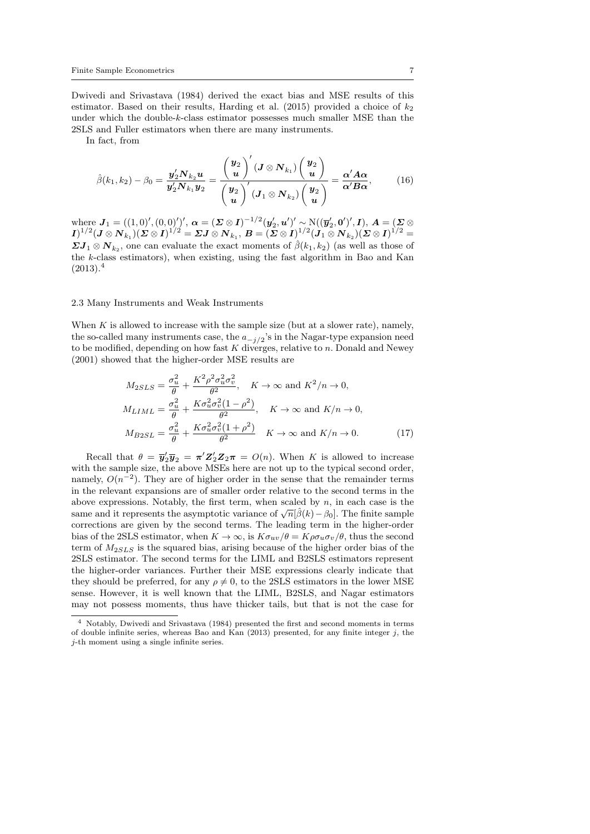Dwivedi and Srivastava (1984) derived the exact bias and MSE results of this estimator. Based on their results, Harding et al. (2015) provided a choice of  $k_2$ under which the double-k-class estimator possesses much smaller MSE than the 2SLS and Fuller estimators when there are many instruments.

In fact, from

$$
\hat{\beta}(k_1,k_2) - \beta_0 = \frac{\mathbf{y}_2' \mathbf{N}_{k_2} \mathbf{u}}{\mathbf{y}_2' \mathbf{N}_{k_1} \mathbf{y}_2} = \frac{\left(\frac{\mathbf{y}_2}{\mathbf{u}}\right)' (\mathbf{J} \otimes \mathbf{N}_{k_1}) \left(\frac{\mathbf{y}_2}{\mathbf{u}}\right)}{\left(\frac{\mathbf{y}_2}{\mathbf{u}}\right)' (\mathbf{J}_1 \otimes \mathbf{N}_{k_2}) \left(\frac{\mathbf{y}_2}{\mathbf{u}}\right)} = \frac{\alpha' A \alpha}{\alpha' B \alpha'},
$$
(16)

where  $\boldsymbol{J}_1 = ((1,0)',(0,0)')', \ \boldsymbol{\alpha} = (\boldsymbol{\Sigma}\otimes\boldsymbol{I})^{-1/2}(\boldsymbol{y}_2',\boldsymbol{u}')' \sim \mathrm{N}((\boldsymbol{\overline{y}}_2',\boldsymbol{0}')',\boldsymbol{I}), \ \boldsymbol{A} = (\boldsymbol{\Sigma}\otimes\boldsymbol{I}')'.$  $I)^{1/2} (J \otimes N_{k_1} ) ( \mathcal{ \mathbf{ \Sigma }} \otimes I)^{1/2} = {\mathbf{ \Sigma }} J \otimes N_{k_1}, \, B = ( \mathcal{ \mathbf{ \Sigma }} \otimes I)^{1/2} ( \overline{J_1} \otimes \overline{N}_{k_2} ) ( \mathcal{ \mathbf{ \Sigma }} \otimes I)^{1/2} = 0,$  $\boldsymbol{E} \boldsymbol{J}_1 \otimes \boldsymbol{N}_{k_2}$ , one can evaluate the exact moments of  $\hat{\beta}(k_1,k_2)$  (as well as those of the k-class estimators), when existing, using the fast algorithm in Bao and Kan  $(2013).<sup>4</sup>$ 

#### 2.3 Many Instruments and Weak Instruments

When  $K$  is allowed to increase with the sample size (but at a slower rate), namely, the so-called many instruments case, the  $a_{-j/2}$ 's in the Nagar-type expansion need to be modified, depending on how fast  $K$  diverges, relative to  $n$ . Donald and Newey (2001) showed that the higher-order MSE results are

$$
M_{2SLS} = \frac{\sigma_u^2}{\theta} + \frac{K^2 \rho^2 \sigma_u^2 \sigma_v^2}{\theta^2}, \quad K \to \infty \text{ and } K^2/n \to 0,
$$
  

$$
M_{LIML} = \frac{\sigma_u^2}{\theta} + \frac{K \sigma_u^2 \sigma_v^2 (1 - \rho^2)}{\theta^2}, \quad K \to \infty \text{ and } K/n \to 0,
$$
  

$$
M_{B2SL} = \frac{\sigma_u^2}{\theta} + \frac{K \sigma_u^2 \sigma_v^2 (1 + \rho^2)}{\theta^2} \quad K \to \infty \text{ and } K/n \to 0.
$$
 (17)

Recall that  $\theta = \overline{\mathbf{y}}_2' \overline{\mathbf{y}}_2 = \pi' \mathbf{Z}_2' \mathbf{Z}_2 \pi = O(n)$ . When K is allowed to increase with the sample size, the above MSEs here are not up to the typical second order, namely,  $O(n^{-2})$ . They are of higher order in the sense that the remainder terms in the relevant expansions are of smaller order relative to the second terms in the above expressions. Notably, the first term, when scaled by  $n$ , in each case is the same and it represents the asymptotic variance of  $\sqrt{n}[\hat{\beta}(k) - \beta_0]$ . The finite sample corrections are given by the second terms. The leading term in the higher-order bias of the 2SLS estimator, when  $K \to \infty$ , is  $K\sigma_{uv}/\theta = K\rho \sigma_u \sigma_v/\theta$ , thus the second term of  $M_{2SLS}$  is the squared bias, arising because of the higher order bias of the 2SLS estimator. The second terms for the LIML and B2SLS estimators represent the higher-order variances. Further their MSE expressions clearly indicate that they should be preferred, for any  $\rho \neq 0$ , to the 2SLS estimators in the lower MSE sense. However, it is well known that the LIML, B2SLS, and Nagar estimators may not possess moments, thus have thicker tails, but that is not the case for

<sup>4</sup> Notably, Dwivedi and Srivastava (1984) presented the first and second moments in terms of double infinite series, whereas Bao and Kan  $(2013)$  presented, for any finite integer j, the j-th moment using a single infinite series.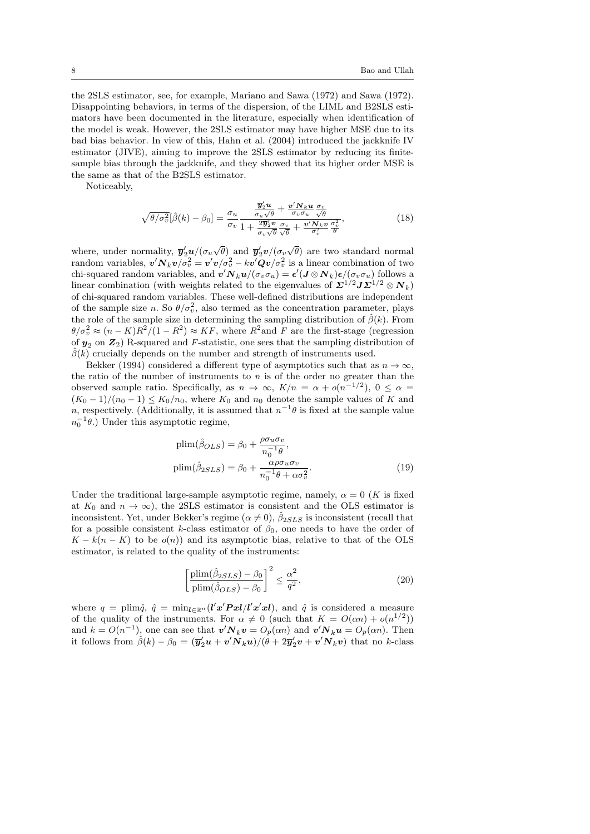the 2SLS estimator, see, for example, Mariano and Sawa (1972) and Sawa (1972). Disappointing behaviors, in terms of the dispersion, of the LIML and B2SLS estimators have been documented in the literature, especially when identification of the model is weak. However, the 2SLS estimator may have higher MSE due to its bad bias behavior. In view of this, Hahn et al. (2004) introduced the jackknife IV estimator (JIVE), aiming to improve the 2SLS estimator by reducing its finitesample bias through the jackknife, and they showed that its higher order MSE is the same as that of the B2SLS estimator.

Noticeably,

$$
\sqrt{\theta/\sigma_v^2}[\hat{\beta}(k) - \beta_0] = \frac{\sigma_u}{\sigma_v} \frac{\frac{\overline{y}_2'}{\sigma_u \sqrt{\theta}} + \frac{\underline{v}' N_k \underline{u}}{\sigma_v \sigma_u} \frac{\sigma_v}{\sqrt{\theta}}}{1 + \frac{2\overline{y}_2' \underline{v}}{\sigma_v \sqrt{\theta}} \frac{\sigma_v}{\sqrt{\theta}} + \frac{\underline{v}' N_k \underline{v}}{\sigma_v^2} \frac{\sigma_v^2}{\theta}},\tag{18}
$$

where, under normality,  $\overline{\mathbf{y}}_2' \mathbf{u} / (\sigma_u \sqrt{\theta})$  and  $\overline{\mathbf{y}}_2' \mathbf{v} / (\sigma_v \sqrt{\theta})$  are two standard normal random variables,  $v'N_kv/\sigma_v^2 = v'v/\sigma_v^2 - kv'Qv/\sigma_v^2$  is a linear combination of two chi-squared random variables, and  $\bm{v}'\bm{N}_k\bm{u}/(\sigma_v\sigma_u) = \bm{\epsilon}'(\bm{J}\otimes \bm{N}_k)\bm{\epsilon}/(\sigma_v\sigma_u)$  follows a linear combination (with weights related to the eigenvalues of  $\mathbf{\Sigma}^{1/2} \mathbf{J} \mathbf{\Sigma}^{1/2} \otimes \mathbf{N}_k$ ) of chi-squared random variables. These well-defined distributions are independent of the sample size *n*. So  $\theta/\sigma_v^2$ , also termed as the concentration parameter, plays the role of the sample size in determining the sampling distribution of  $\hat{\beta}(k)$ . From  $\theta/\sigma_v^2 \approx (n-K)R^2/(1-R^2) \approx KF$ , where  $R^2$  and F are the first-stage (regression of  $y_2$  on  $Z_2$ ) R-squared and F-statistic, one sees that the sampling distribution of  $\hat{\beta}(k)$  crucially depends on the number and strength of instruments used.

Bekker (1994) considered a different type of asymptotics such that as  $n \to \infty$ , the ratio of the number of instruments to  $n$  is of the order no greater than the observed sample ratio. Specifically, as  $n \to \infty$ ,  $K/n = \alpha + o(n^{-1/2})$ ,  $0 \leq \alpha =$  $(K_0-1)/(n_0-1) \leq K_0/n_0$ , where  $K_0$  and  $n_0$  denote the sample values of K and n, respectively. (Additionally, it is assumed that  $n^{-1}\theta$  is fixed at the sample value  $n_0^{-1}\theta$ .) Under this asymptotic regime,

$$
\text{plim}(\hat{\beta}_{OLS}) = \beta_0 + \frac{\rho \sigma_u \sigma_v}{n_0^{-1} \theta},
$$

$$
\text{plim}(\hat{\beta}_{2SLS}) = \beta_0 + \frac{\alpha \rho \sigma_u \sigma_v}{n_0^{-1} \theta + \alpha \sigma_v^2}.
$$
(19)

Under the traditional large-sample asymptotic regime, namely,  $\alpha = 0$  (K is fixed at  $K_0$  and  $n \to \infty$ ), the 2SLS estimator is consistent and the OLS estimator is inconsistent. Yet, under Bekker's regime  $(\alpha \neq 0)$ ,  $\hat{\beta}_{2SLS}$  is inconsistent (recall that for a possible consistent k-class estimator of  $\beta_0$ , one needs to have the order of  $K - k(n - K)$  to be  $o(n)$ ) and its asymptotic bias, relative to that of the OLS estimator, is related to the quality of the instruments:

$$
\left[\frac{\text{plim}(\hat{\beta}_{2SLS}) - \beta_0}{\text{plim}(\hat{\beta}_{OLS}) - \beta_0}\right]^2 \le \frac{\alpha^2}{q^2},\tag{20}
$$

where  $q = \text{plim}\hat{q}$ ,  $\hat{q} = \min_{l \in \mathbb{R}^n} (l'x'Pxl/l'x'xl)$ , and  $\hat{q}$  is considered a measure of the quality of the instruments. For  $\alpha \neq 0$  (such that  $K = O(\alpha n) + o(n^{1/2})$ ) and  $k = O(n^{-1})$ , one can see that  $\mathbf{v}' \mathbf{N}_k \mathbf{v} = O_p(\alpha n)$  and  $\mathbf{v}' \mathbf{N}_k \mathbf{u} = O_p(\alpha n)$ . Then it follows from  $\hat{\beta}(k) - \beta_0 = (\overline{\mathbf{y}}_2'\mathbf{u} + \mathbf{v}'\mathbf{N}_k\mathbf{u})/(\hat{\theta} + 2\overline{\mathbf{y}}_2'\mathbf{v} + \mathbf{v}'\mathbf{N}_k\mathbf{v})$  that no k-class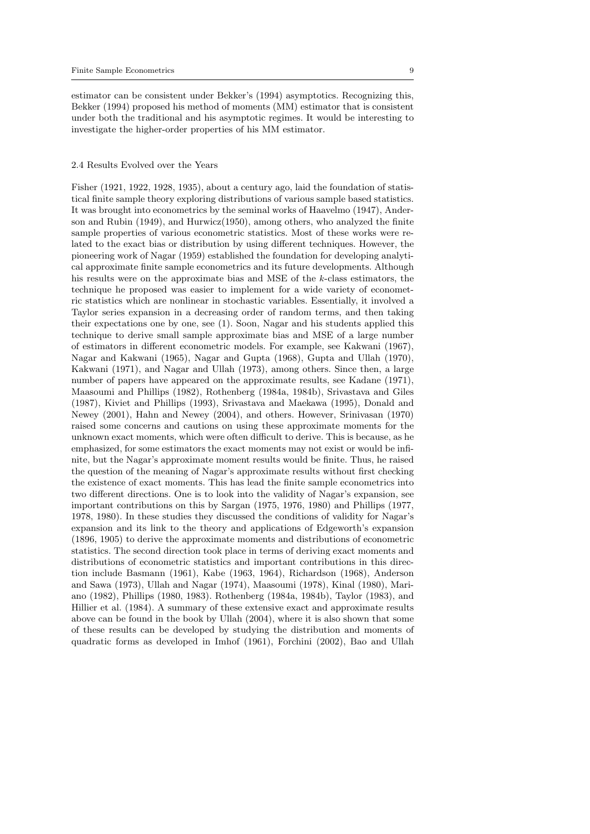estimator can be consistent under Bekker's (1994) asymptotics. Recognizing this, Bekker (1994) proposed his method of moments (MM) estimator that is consistent under both the traditional and his asymptotic regimes. It would be interesting to investigate the higher-order properties of his MM estimator.

#### 2.4 Results Evolved over the Years

Fisher (1921, 1922, 1928, 1935), about a century ago, laid the foundation of statistical finite sample theory exploring distributions of various sample based statistics. It was brought into econometrics by the seminal works of Haavelmo (1947), Anderson and Rubin (1949), and Hurwicz(1950), among others, who analyzed the finite sample properties of various econometric statistics. Most of these works were related to the exact bias or distribution by using different techniques. However, the pioneering work of Nagar (1959) established the foundation for developing analytical approximate finite sample econometrics and its future developments. Although his results were on the approximate bias and MSE of the k-class estimators, the technique he proposed was easier to implement for a wide variety of econometric statistics which are nonlinear in stochastic variables. Essentially, it involved a Taylor series expansion in a decreasing order of random terms, and then taking their expectations one by one, see (1). Soon, Nagar and his students applied this technique to derive small sample approximate bias and MSE of a large number of estimators in different econometric models. For example, see Kakwani (1967), Nagar and Kakwani (1965), Nagar and Gupta (1968), Gupta and Ullah (1970), Kakwani (1971), and Nagar and Ullah (1973), among others. Since then, a large number of papers have appeared on the approximate results, see Kadane (1971), Maasoumi and Phillips (1982), Rothenberg (1984a, 1984b), Srivastava and Giles (1987), Kiviet and Phillips (1993), Srivastava and Maekawa (1995), Donald and Newey (2001), Hahn and Newey (2004), and others. However, Srinivasan (1970) raised some concerns and cautions on using these approximate moments for the unknown exact moments, which were often difficult to derive. This is because, as he emphasized, for some estimators the exact moments may not exist or would be infinite, but the Nagar's approximate moment results would be finite. Thus, he raised the question of the meaning of Nagar's approximate results without first checking the existence of exact moments. This has lead the finite sample econometrics into two different directions. One is to look into the validity of Nagar's expansion, see important contributions on this by Sargan (1975, 1976, 1980) and Phillips (1977, 1978, 1980). In these studies they discussed the conditions of validity for Nagar's expansion and its link to the theory and applications of Edgeworth's expansion (1896, 1905) to derive the approximate moments and distributions of econometric statistics. The second direction took place in terms of deriving exact moments and distributions of econometric statistics and important contributions in this direction include Basmann (1961), Kabe (1963, 1964), Richardson (1968), Anderson and Sawa (1973), Ullah and Nagar (1974), Maasoumi (1978), Kinal (1980), Mariano (1982), Phillips (1980, 1983). Rothenberg (1984a, 1984b), Taylor (1983), and Hillier et al. (1984). A summary of these extensive exact and approximate results above can be found in the book by Ullah (2004), where it is also shown that some of these results can be developed by studying the distribution and moments of quadratic forms as developed in Imhof (1961), Forchini (2002), Bao and Ullah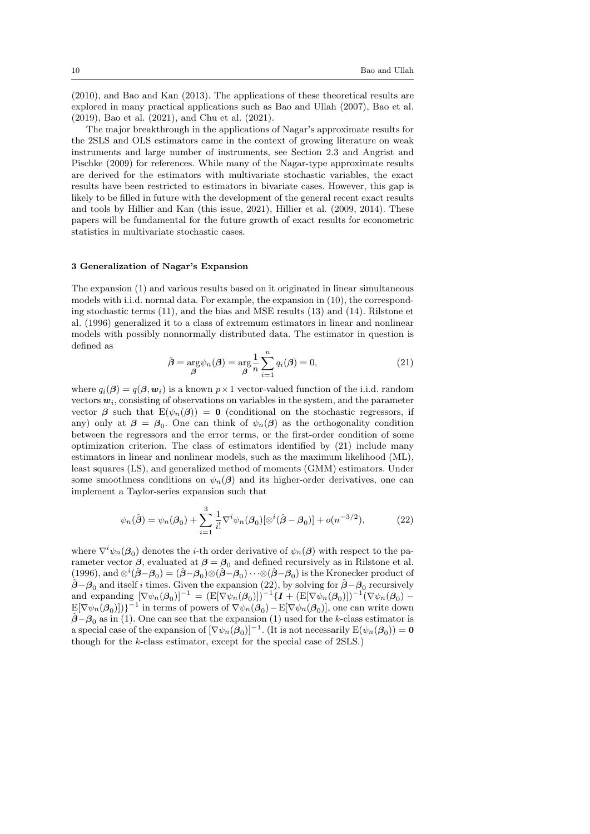(2010), and Bao and Kan (2013). The applications of these theoretical results are explored in many practical applications such as Bao and Ullah (2007), Bao et al. (2019), Bao et al. (2021), and Chu et al. (2021).

The major breakthrough in the applications of Nagar's approximate results for the 2SLS and OLS estimators came in the context of growing literature on weak instruments and large number of instruments, see Section 2.3 and Angrist and Pischke (2009) for references. While many of the Nagar-type approximate results are derived for the estimators with multivariate stochastic variables, the exact results have been restricted to estimators in bivariate cases. However, this gap is likely to be filled in future with the development of the general recent exact results and tools by Hillier and Kan (this issue, 2021), Hillier et al. (2009, 2014). These papers will be fundamental for the future growth of exact results for econometric statistics in multivariate stochastic cases.

## 3 Generalization of Nagar's Expansion

The expansion (1) and various results based on it originated in linear simultaneous models with i.i.d. normal data. For example, the expansion in (10), the corresponding stochastic terms (11), and the bias and MSE results (13) and (14). Rilstone et al. (1996) generalized it to a class of extremum estimators in linear and nonlinear models with possibly nonnormally distributed data. The estimator in question is defined as

$$
\hat{\boldsymbol{\beta}} = \underset{\boldsymbol{\beta}}{\arg} \psi_n(\boldsymbol{\beta}) = \underset{\boldsymbol{\beta}}{\arg} \frac{1}{n} \sum_{i=1}^n q_i(\boldsymbol{\beta}) = 0,
$$
\n(21)

where  $q_i(\beta) = q(\beta, w_i)$  is a known  $p \times 1$  vector-valued function of the i.i.d. random vectors  $w_i$ , consisting of observations on variables in the system, and the parameter vector  $\beta$  such that  $E(\psi_n(\beta)) = 0$  (conditional on the stochastic regressors, if any) only at  $\beta = \beta_0$ . One can think of  $\psi_n(\beta)$  as the orthogonality condition between the regressors and the error terms, or the first-order condition of some optimization criterion. The class of estimators identified by (21) include many estimators in linear and nonlinear models, such as the maximum likelihood (ML), least squares (LS), and generalized method of moments (GMM) estimators. Under some smoothness conditions on  $\psi_n(\beta)$  and its higher-order derivatives, one can implement a Taylor-series expansion such that

$$
\psi_n(\hat{\boldsymbol{\beta}}) = \psi_n(\boldsymbol{\beta}_0) + \sum_{i=1}^3 \frac{1}{i!} \nabla^i \psi_n(\boldsymbol{\beta}_0) [\otimes^i (\hat{\boldsymbol{\beta}} - \boldsymbol{\beta}_0)] + o(n^{-3/2}), \tag{22}
$$

where  $\nabla^i \psi_n(\boldsymbol{\beta}_0)$  denotes the *i*-th order derivative of  $\psi_n(\boldsymbol{\beta})$  with respect to the parameter vector  $\beta$ , evaluated at  $\beta = \beta_0$  and defined recursively as in Rilstone et al. (1996), and  $\otimes^i(\hat{\beta}-\beta_0) = (\hat{\beta}-\beta_0)\otimes(\hat{\beta}-\beta_0)\cdots\otimes(\hat{\beta}-\beta_0)$  is the Kronecker product of  $\hat{\boldsymbol{\beta}}-\boldsymbol{\beta}_0$  and itself i times. Given the expansion (22), by solving for  $\hat{\boldsymbol{\beta}}-\boldsymbol{\beta}_0$  recursively and expanding  $[\nabla \psi_n(\beta_0)]^{-1} = (E[\nabla \psi_n(\beta_0)])^{-1} \{I + (E[\nabla \psi_n(\beta_0)])^{-1}(\nabla \psi_n(\beta_0) \mathbb{E}[\nabla \psi_n(\boldsymbol{\beta}_0)]$ }<sup>-1</sup> in terms of powers of  $\nabla \psi_n(\boldsymbol{\beta}_0) - \mathbb{E}[\nabla \psi_n(\boldsymbol{\beta}_0)]$ , one can write down  $\hat{\beta} - \beta_0$  as in (1). One can see that the expansion (1) used for the k-class estimator is a special case of the expansion of  $[\nabla \psi_n(\mathcal{A}_0)]^{-1}$ . (It is not necessarily  $E(\psi_n(\mathcal{A}_0)) = 0$ though for the k-class estimator, except for the special case of 2SLS.)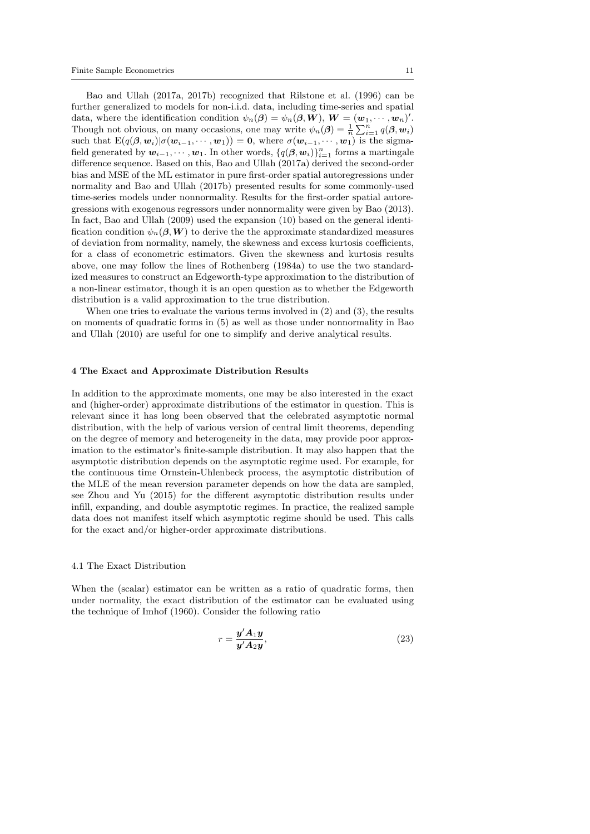Bao and Ullah (2017a, 2017b) recognized that Rilstone et al. (1996) can be further generalized to models for non-i.i.d. data, including time-series and spatial data, where the identification condition  $\psi_n(\boldsymbol{\beta}) = \psi_n(\boldsymbol{\beta}, \boldsymbol{W})$ ,  $\boldsymbol{W} = (\boldsymbol{w}_1, \cdots, \boldsymbol{w}_n)'$ . Though not obvious, on many occasions, one may write  $\psi_n(\boldsymbol{\beta}) = \frac{1}{n} \sum_{i=1}^n q(\boldsymbol{\beta}, \boldsymbol{w}_i)$ such that  $E(q(\beta, w_i)|\sigma(w_{i-1}, \dots, w_1)) = 0$ , where  $\sigma(w_{i-1}, \dots, w_1)$  is the sigmafield generated by  $w_{i-1}, \dots, w_1$ . In other words,  $\{q(\boldsymbol{\beta}, \boldsymbol{w}_i)\}_{i=1}^n$  forms a martingale difference sequence. Based on this, Bao and Ullah (2017a) derived the second-order bias and MSE of the ML estimator in pure first-order spatial autoregressions under normality and Bao and Ullah (2017b) presented results for some commonly-used time-series models under nonnormality. Results for the first-order spatial autoregressions with exogenous regressors under nonnormality were given by Bao (2013). In fact, Bao and Ullah (2009) used the expansion (10) based on the general identification condition  $\psi_n(\beta, W)$  to derive the the approximate standardized measures of deviation from normality, namely, the skewness and excess kurtosis coefficients, for a class of econometric estimators. Given the skewness and kurtosis results above, one may follow the lines of Rothenberg (1984a) to use the two standardized measures to construct an Edgeworth-type approximation to the distribution of a non-linear estimator, though it is an open question as to whether the Edgeworth distribution is a valid approximation to the true distribution.

When one tries to evaluate the various terms involved in  $(2)$  and  $(3)$ , the results on moments of quadratic forms in (5) as well as those under nonnormality in Bao and Ullah (2010) are useful for one to simplify and derive analytical results.

#### 4 The Exact and Approximate Distribution Results

In addition to the approximate moments, one may be also interested in the exact and (higher-order) approximate distributions of the estimator in question. This is relevant since it has long been observed that the celebrated asymptotic normal distribution, with the help of various version of central limit theorems, depending on the degree of memory and heterogeneity in the data, may provide poor approximation to the estimator's finite-sample distribution. It may also happen that the asymptotic distribution depends on the asymptotic regime used. For example, for the continuous time Ornstein-Uhlenbeck process, the asymptotic distribution of the MLE of the mean reversion parameter depends on how the data are sampled, see Zhou and Yu (2015) for the different asymptotic distribution results under infill, expanding, and double asymptotic regimes. In practice, the realized sample data does not manifest itself which asymptotic regime should be used. This calls for the exact and/or higher-order approximate distributions.

#### 4.1 The Exact Distribution

When the (scalar) estimator can be written as a ratio of quadratic forms, then under normality, the exact distribution of the estimator can be evaluated using the technique of Imhof (1960). Consider the following ratio

$$
r = \frac{\mathbf{y}' A_1 \mathbf{y}}{\mathbf{y}' A_2 \mathbf{y}},\tag{23}
$$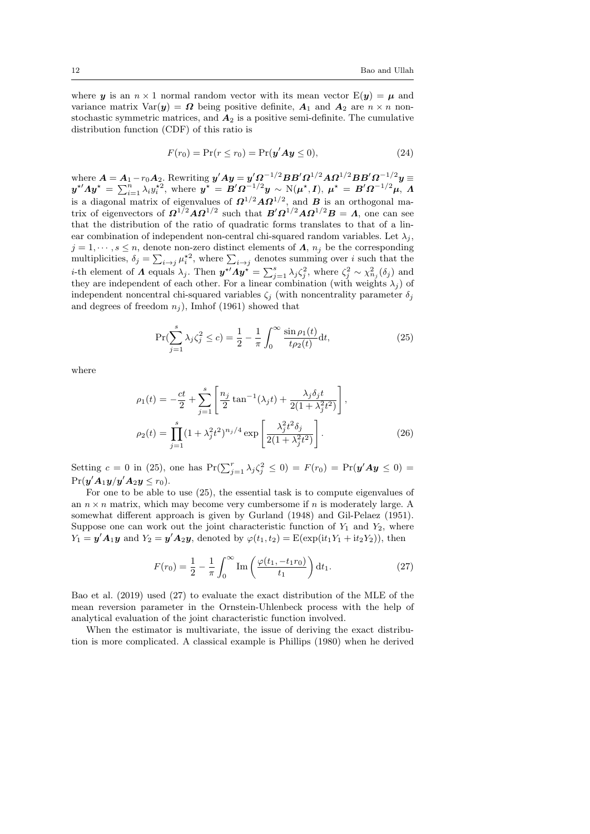where y is an  $n \times 1$  normal random vector with its mean vector  $E(y) = \mu$  and variance matrix  $Var(y) = \Omega$  being positive definite,  $A_1$  and  $A_2$  are  $n \times n$  nonstochastic symmetric matrices, and  $A_2$  is a positive semi-definite. The cumulative distribution function (CDF) of this ratio is

$$
F(r_0) = \Pr(r \le r_0) = \Pr(\mathbf{y}' \mathbf{A} \mathbf{y} \le 0),\tag{24}
$$

where  $A = A_1 - r_0 A_2$ . Rewriting  $y'Ay = y'\Omega^{-1/2}BB'\Omega^{1/2}AD^{1/2}BB'\Omega^{-1/2}y =$  $\boldsymbol{y}^{\star\prime}\boldsymbol{\Lambda}\boldsymbol{y}^{\star} = \sum_{i=1}^n\lambda_i y_i^{\star 2}, \text{ where } \boldsymbol{y}^{\star\prime} = \boldsymbol{B}'\boldsymbol{\Omega}^{-1/2}\boldsymbol{y} \sim \text{N}(\boldsymbol{\mu}^{\star}, \boldsymbol{I}), \ \boldsymbol{\mu}^{\star\prime} = \boldsymbol{B}'\boldsymbol{\Omega}^{-1/2}\boldsymbol{\mu}, \ \boldsymbol{\Lambda}$ is a diagonal matrix of eigenvalues of  $\Omega^{1/2} A \Omega^{1/2}$ , and  $B$  is an orthogonal matrix of eigenvectors of  $\Omega^{1/2} A \Omega^{1/2}$  such that  $B' \Omega^{1/2} A \Omega^{1/2} B = \Lambda$ , one can see that the distribution of the ratio of quadratic forms translates to that of a linear combination of independent non-central chi-squared random variables. Let  $\lambda_i$ ,  $j = 1, \dots, s \leq n$ , denote non-zero distinct elements of  $\Lambda$ ,  $n_j$  be the corresponding multiplicities,  $\delta_j = \sum_{i \to j} \mu_i^{\star 2}$ , where  $\sum_{i \to j}$  denotes summing over i such that the *i*-th element of  $\Lambda$  equals  $\lambda_j$ . Then  $\mathbf{y}^{*'} \Lambda \mathbf{y}^{*} = \sum_{j=1}^s \lambda_j \zeta_j^2$ , where  $\zeta_j^2 \sim \chi_{n_j}^2(\delta_j)$  and they are independent of each other. For a linear combination (with weights  $\lambda_j$ ) of independent noncentral chi-squared variables  $\zeta_j$  (with noncentrality parameter  $\delta_j$ and degrees of freedom  $n_j$ ), Imhof (1961) showed that

$$
\Pr(\sum_{j=1}^{s} \lambda_j \zeta_j^2 \le c) = \frac{1}{2} - \frac{1}{\pi} \int_0^\infty \frac{\sin \rho_1(t)}{t \rho_2(t)} dt,\tag{25}
$$

where

$$
\rho_1(t) = -\frac{ct}{2} + \sum_{j=1}^s \left[ \frac{n_j}{2} \tan^{-1}(\lambda_j t) + \frac{\lambda_j \delta_j t}{2(1 + \lambda_j^2 t^2)} \right],
$$
  

$$
\rho_2(t) = \prod_{j=1}^s (1 + \lambda_j^2 t^2)^{n_j/4} \exp\left[ \frac{\lambda_j^2 t^2 \delta_j}{2(1 + \lambda_j^2 t^2)} \right].
$$
 (26)

Setting  $c = 0$  in (25), one has  $Pr(\sum_{j=1}^{r} \lambda_j \zeta_j^2 \leq 0) = F(r_0) = Pr(\mathbf{y}' \mathbf{A} \mathbf{y} \leq 0)$  $Pr(\boldsymbol{y}'\boldsymbol{A}_1\boldsymbol{y}/\boldsymbol{y}'\boldsymbol{A}_2\boldsymbol{y} \leq r_0).$ 

For one to be able to use (25), the essential task is to compute eigenvalues of an  $n \times n$  matrix, which may become very cumbersome if n is moderately large. A somewhat different approach is given by Gurland (1948) and Gil-Pelaez (1951). Suppose one can work out the joint characteristic function of  $Y_1$  and  $Y_2$ , where  $Y_1 = \mathbf{y}' \mathbf{A}_1 \mathbf{y}$  and  $Y_2 = \mathbf{y}' \mathbf{A}_2 \mathbf{y}$ , denoted by  $\varphi(t_1, t_2) = \mathrm{E}(\exp(\mathrm{i}t_1 Y_1 + \mathrm{i}t_2 Y_2))$ , then

$$
F(r_0) = \frac{1}{2} - \frac{1}{\pi} \int_0^\infty \text{Im}\left(\frac{\varphi(t_1, -t_1 r_0)}{t_1}\right) dt_1.
$$
 (27)

Bao et al. (2019) used (27) to evaluate the exact distribution of the MLE of the mean reversion parameter in the Ornstein-Uhlenbeck process with the help of analytical evaluation of the joint characteristic function involved.

When the estimator is multivariate, the issue of deriving the exact distribution is more complicated. A classical example is Phillips (1980) when he derived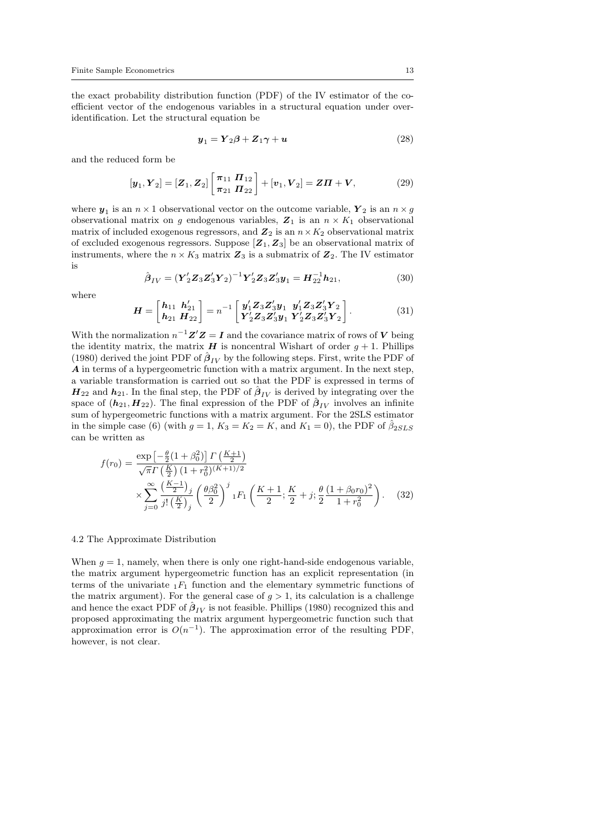the exact probability distribution function (PDF) of the IV estimator of the coefficient vector of the endogenous variables in a structural equation under overidentification. Let the structural equation be

$$
\mathbf{y}_1 = \mathbf{Y}_2 \boldsymbol{\beta} + \mathbf{Z}_1 \boldsymbol{\gamma} + \mathbf{u} \tag{28}
$$

and the reduced form be

$$
[\mathbf{y}_1, \mathbf{Y}_2] = [\mathbf{Z}_1, \mathbf{Z}_2] \begin{bmatrix} \pi_{11} & \mathbf{\Pi}_{12} \\ \pi_{21} & \mathbf{\Pi}_{22} \end{bmatrix} + [\mathbf{v}_1, \mathbf{V}_2] = \mathbf{Z}\mathbf{\Pi} + \mathbf{V},
$$
(29)

where  $y_1$  is an  $n \times 1$  observational vector on the outcome variable,  $Y_2$  is an  $n \times g$ observational matrix on g endogenous variables,  $\mathbb{Z}_1$  is an  $n \times K_1$  observational matrix of included exogenous regressors, and  $\boldsymbol{Z}_2$  is an  $n\times K_2$  observational matrix of excluded exogenous regressors. Suppose  $[\mathbb{Z}_1, \mathbb{Z}_3]$  be an observational matrix of instruments, where the  $n \times K_3$  matrix  $\mathbb{Z}_3$  is a submatrix of  $\mathbb{Z}_2$ . The IV estimator is

$$
\hat{\boldsymbol{\beta}}_{IV} = (\mathbf{Y}_2' \mathbf{Z}_3 \mathbf{Z}_3' \mathbf{Y}_2)^{-1} \mathbf{Y}_2' \mathbf{Z}_3 \mathbf{Z}_3' \mathbf{y}_1 = \mathbf{H}_{22}^{-1} \mathbf{h}_{21},
$$
\n(30)

where

$$
H = \begin{bmatrix} h_{11} & h'_{21} \\ h_{21} & H_{22} \end{bmatrix} = n^{-1} \begin{bmatrix} y'_1 Z_3 Z'_3 y_1 & y'_1 Z_3 Z'_3 Y_2 \\ Y'_2 Z_3 Z'_3 y_1 & Y'_2 Z_3 Z'_3 Y_2 \end{bmatrix}.
$$
 (31)

With the normalization  $n^{-1}Z'Z = I$  and the covariance matrix of rows of V being the identity matrix, the matrix  $H$  is noncentral Wishart of order  $g + 1$ . Phillips (1980) derived the joint PDF of  $\hat{\beta}_{IV}$  by the following steps. First, write the PDF of A in terms of a hypergeometric function with a matrix argument. In the next step, a variable transformation is carried out so that the PDF is expressed in terms of  $H_{22}$  and  $h_{21}$ . In the final step, the PDF of  $\hat{\beta}_{IV}$  is derived by integrating over the space of  $(h_{21}, H_{22})$ . The final expression of the PDF of  $\hat{\beta}_{IV}$  involves an infinite sum of hypergeometric functions with a matrix argument. For the 2SLS estimator in the simple case (6) (with  $g = 1, K_3 = K_2 = K$ , and  $K_1 = 0$ ), the PDF of  $\hat{\beta}_{2SLS}$ can be written as

$$
f(r_0) = \frac{\exp\left[-\frac{\theta}{2}(1+\beta_0^2)\right] \Gamma\left(\frac{K+1}{2}\right)}{\sqrt{\pi} \Gamma\left(\frac{K}{2}\right) (1+r_0^2)^{(K+1)/2}} \times \sum_{j=0}^{\infty} \frac{\left(\frac{K-1}{2}\right)_j}{j!\left(\frac{K}{2}\right)_j} \left(\frac{\theta \beta_0^2}{2}\right)^j {}_{1}F_1\left(\frac{K+1}{2}; \frac{K}{2}+j; \frac{\theta}{2}\frac{(1+\beta_0 r_0)^2}{1+r_0^2}\right). \tag{32}
$$

### 4.2 The Approximate Distribution

When  $g = 1$ , namely, when there is only one right-hand-side endogenous variable, the matrix argument hypergeometric function has an explicit representation (in terms of the univariate  $_1F_1$  function and the elementary symmetric functions of the matrix argument). For the general case of  $g > 1$ , its calculation is a challenge and hence the exact PDF of  $\hat{\beta}_{IV}$  is not feasible. Phillips (1980) recognized this and proposed approximating the matrix argument hypergeometric function such that approximation error is  $O(n^{-1})$ . The approximation error of the resulting PDF, however, is not clear.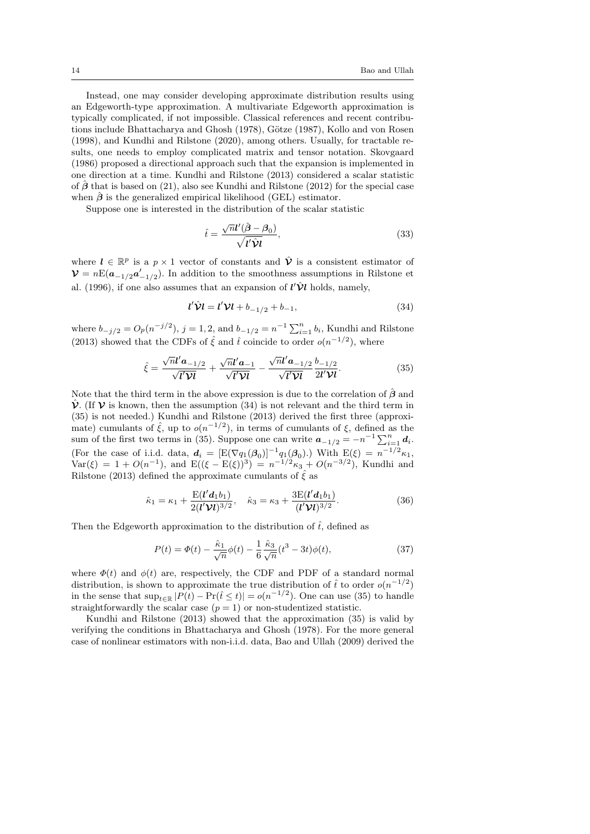Instead, one may consider developing approximate distribution results using an Edgeworth-type approximation. A multivariate Edgeworth approximation is typically complicated, if not impossible. Classical references and recent contributions include Bhattacharya and Ghosh (1978), Götze (1987), Kollo and von Rosen (1998), and Kundhi and Rilstone (2020), among others. Usually, for tractable results, one needs to employ complicated matrix and tensor notation. Skovgaard (1986) proposed a directional approach such that the expansion is implemented in one direction at a time. Kundhi and Rilstone (2013) considered a scalar statistic of  $\hat{\beta}$  that is based on (21), also see Kundhi and Rilstone (2012) for the special case when  $\hat{\beta}$  is the generalized empirical likelihood (GEL) estimator.

Suppose one is interested in the distribution of the scalar statistic

$$
\hat{t} = \frac{\sqrt{n}l'(\hat{\boldsymbol{\beta}} - \boldsymbol{\beta}_0)}{\sqrt{l'\hat{\mathbf{\hat{V}}l}}},\tag{33}
$$

where  $l \in \mathbb{R}^p$  is a  $p \times 1$  vector of constants and  $\hat{\mathcal{V}}$  is a consistent estimator of  $\mathcal{V} = nE(a_{-1/2}a'_{-1/2})$ . In addition to the smoothness assumptions in Rilstone et al. (1996), if one also assumes that an expansion of  $l' \hat{\mathcal{V}} l$  holds, namely,

$$
l'\hat{\mathbf{V}}l = l'\mathbf{V}l + b_{-1/2} + b_{-1},
$$
\n(34)

where  $b_{-j/2} = O_p(n^{-j/2})$ ,  $j = 1, 2$ , and  $b_{-1/2} = n^{-1} \sum_{i=1}^n b_i$ , Kundhi and Rilstone (2013) showed that the CDFs of  $\hat{\xi}$  and  $\hat{t}$  coincide to order  $o(n^{-1/2})$ , where

$$
\hat{\xi} = \frac{\sqrt{n} \mathbf{l}' \mathbf{a}_{-1/2}}{\sqrt{\mathbf{l}' \mathbf{V} \mathbf{l}}} + \frac{\sqrt{n} \mathbf{l}' \mathbf{a}_{-1}}{\sqrt{\mathbf{l}' \mathbf{V} \mathbf{l}}} - \frac{\sqrt{n} \mathbf{l}' \mathbf{a}_{-1/2}}{\sqrt{\mathbf{l}' \mathbf{V} \mathbf{l}}} \frac{b_{-1/2}}{2\mathbf{l}' \mathbf{V} \mathbf{l}}.
$$
\n(35)

Note that the third term in the above expression is due to the correlation of  $\hat{\boldsymbol{\beta}}$  and  $\hat{\mathcal{V}}$ . (If  $\mathcal{V}$  is known, then the assumption (34) is not relevant and the third term in (35) is not needed.) Kundhi and Rilstone (2013) derived the first three (approximate) cumulants of  $\hat{\xi}$ , up to  $o(n^{-1/2})$ , in terms of cumulants of  $\xi$ , defined as the sum of the first two terms in (35). Suppose one can write  $a_{-1/2} = -n^{-1} \sum_{i=1}^{n} d_i$ . (For the case of i.i.d. data,  $d_i = [E(\nabla q_1(\beta_0))]^{-1} q_1(\beta_0)$ .) With  $E(\xi) = n^{-1/2} \kappa_1$ ,  $Var(\xi) = 1 + O(n^{-1}),$  and  $E((\xi - E(\xi))^3) = n^{-1/2}\kappa_3 + O(n^{-3/2}),$  Kundhi and Rilstone (2013) defined the approximate cumulants of  $\hat{\xi}$  as

$$
\hat{\kappa}_1 = \kappa_1 + \frac{\mathrm{E}(l'd_1b_1)}{2(l'\mathcal{V}l)^{3/2}}, \quad \hat{\kappa}_3 = \kappa_3 + \frac{3\mathrm{E}(l'd_1b_1)}{(l'\mathcal{V}l)^{3/2}}.
$$
\n(36)

Then the Edgeworth approximation to the distribution of  $\hat{t}$ , defined as

$$
P(t) = \Phi(t) - \frac{\hat{\kappa}_1}{\sqrt{n}} \phi(t) - \frac{1}{6} \frac{\hat{\kappa}_3}{\sqrt{n}} (t^3 - 3t) \phi(t), \tag{37}
$$

where  $\Phi(t)$  and  $\phi(t)$  are, respectively, the CDF and PDF of a standard normal distribution, is shown to approximate the true distribution of  $\hat{t}$  to order  $o(n^{-1/2})$ in the sense that  $\sup_{t\in\mathbb{R}}|P(t)-\Pr(\hat{t}\leq t)|=o(n^{-1/2})$ . One can use (35) to handle straightforwardly the scalar case  $(p = 1)$  or non-studentized statistic.

Kundhi and Rilstone (2013) showed that the approximation (35) is valid by verifying the conditions in Bhattacharya and Ghosh (1978). For the more general case of nonlinear estimators with non-i.i.d. data, Bao and Ullah (2009) derived the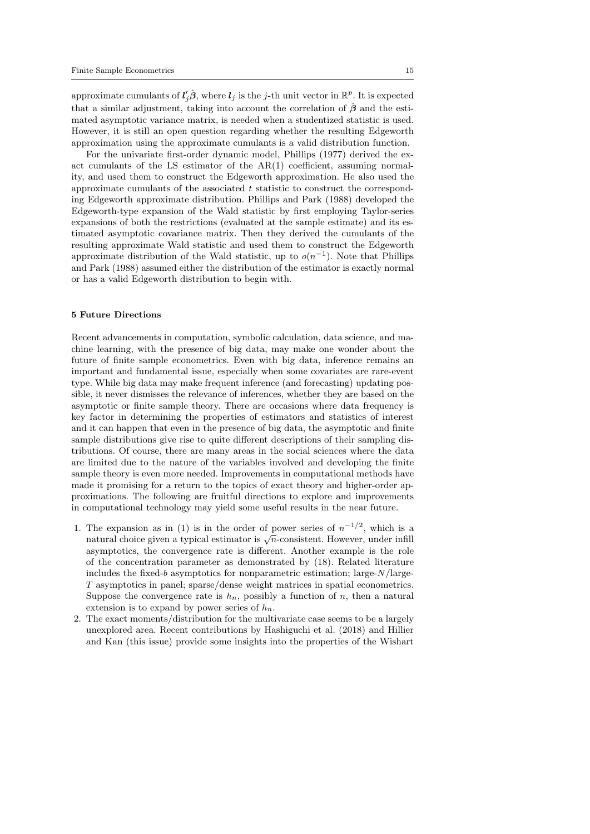approximate cumulants of  $l_j'\hat{\boldsymbol{\beta}},$  where  $l_j$  is the j-th unit vector in  $\mathbb{R}^p$ . It is expected that a similar adjustment, taking into account the correlation of  $\hat{\beta}$  and the estimated asymptotic variance matrix, is needed when a studentized statistic is used. However, it is still an open question regarding whether the resulting Edgeworth approximation using the approximate cumulants is a valid distribution function.

For the univariate first-order dynamic model, Phillips (1977) derived the exact cumulants of the LS estimator of the AR(1) coefficient, assuming normality, and used them to construct the Edgeworth approximation. He also used the approximate cumulants of the associated  $t$  statistic to construct the corresponding Edgeworth approximate distribution. Phillips and Park (1988) developed the Edgeworth-type expansion of the Wald statistic by first employing Taylor-series expansions of both the restrictions (evaluated at the sample estimate) and its estimated asymptotic covariance matrix. Then they derived the cumulants of the resulting approximate Wald statistic and used them to construct the Edgeworth approximate distribution of the Wald statistic, up to  $o(n^{-1})$ . Note that Phillips and Park (1988) assumed either the distribution of the estimator is exactly normal or has a valid Edgeworth distribution to begin with.

# 5 Future Directions

Recent advancements in computation, symbolic calculation, data science, and machine learning, with the presence of big data, may make one wonder about the future of finite sample econometrics. Even with big data, inference remains an important and fundamental issue, especially when some covariates are rare-event type. While big data may make frequent inference (and forecasting) updating possible, it never dismisses the relevance of inferences, whether they are based on the asymptotic or finite sample theory. There are occasions where data frequency is key factor in determining the properties of estimators and statistics of interest and it can happen that even in the presence of big data, the asymptotic and finite sample distributions give rise to quite different descriptions of their sampling distributions. Of course, there are many areas in the social sciences where the data are limited due to the nature of the variables involved and developing the finite sample theory is even more needed. Improvements in computational methods have made it promising for a return to the topics of exact theory and higher-order approximations. The following are fruitful directions to explore and improvements in computational technology may yield some useful results in the near future.

- 1. The expansion as in (1) is in the order of power series of  $n^{-1/2}$ , which is a natural choice given a typical estimator is  $\sqrt{n}$ -consistent. However, under infill asymptotics, the convergence rate is different. Another example is the role of the concentration parameter as demonstrated by (18). Related literature includes the fixed-b asymptotics for nonparametric estimation; large- $N/\text{large}$ -T asymptotics in panel; sparse/dense weight matrices in spatial econometrics. Suppose the convergence rate is  $h_n$ , possibly a function of n, then a natural extension is to expand by power series of  $h_n$ .
- 2. The exact moments/distribution for the multivariate case seems to be a largely unexplored area. Recent contributions by Hashiguchi et al. (2018) and Hillier and Kan (this issue) provide some insights into the properties of the Wishart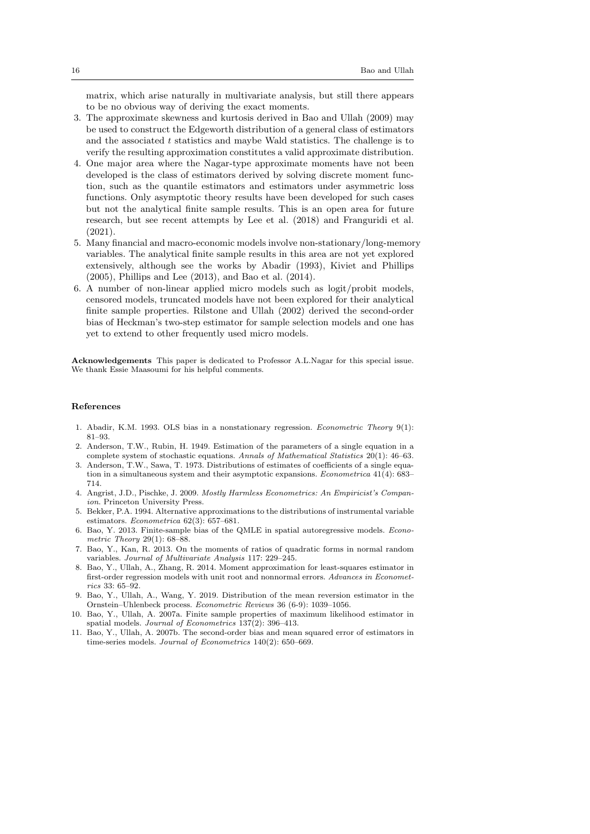matrix, which arise naturally in multivariate analysis, but still there appears to be no obvious way of deriving the exact moments.

- 3. The approximate skewness and kurtosis derived in Bao and Ullah (2009) may be used to construct the Edgeworth distribution of a general class of estimators and the associated  $t$  statistics and maybe Wald statistics. The challenge is to verify the resulting approximation constitutes a valid approximate distribution.
- 4. One major area where the Nagar-type approximate moments have not been developed is the class of estimators derived by solving discrete moment function, such as the quantile estimators and estimators under asymmetric loss functions. Only asymptotic theory results have been developed for such cases but not the analytical finite sample results. This is an open area for future research, but see recent attempts by Lee et al. (2018) and Franguridi et al. (2021).
- 5. Many financial and macro-economic models involve non-stationary/long-memory variables. The analytical finite sample results in this area are not yet explored extensively, although see the works by Abadir (1993), Kiviet and Phillips (2005), Phillips and Lee (2013), and Bao et al. (2014).
- 6. A number of non-linear applied micro models such as logit/probit models, censored models, truncated models have not been explored for their analytical finite sample properties. Rilstone and Ullah (2002) derived the second-order bias of Heckman's two-step estimator for sample selection models and one has yet to extend to other frequently used micro models.

Acknowledgements This paper is dedicated to Professor A.L.Nagar for this special issue. We thank Essie Maasoumi for his helpful comments.

## References

- 1. Abadir, K.M. 1993. OLS bias in a nonstationary regression. Econometric Theory 9(1): 81–93.
- 2. Anderson, T.W., Rubin, H. 1949. Estimation of the parameters of a single equation in a complete system of stochastic equations. Annals of Mathematical Statistics 20(1): 46–63.
- 3. Anderson, T.W., Sawa, T. 1973. Distributions of estimates of coefficients of a single equation in a simultaneous system and their asymptotic expansions. Econometrica 41(4): 683– 714.
- 4. Angrist, J.D., Pischke, J. 2009. Mostly Harmless Econometrics: An Empiricist's Companion. Princeton University Press.
- 5. Bekker, P.A. 1994. Alternative approximations to the distributions of instrumental variable estimators. Econometrica 62(3): 657–681.
- 6. Bao, Y. 2013. Finite-sample bias of the QMLE in spatial autoregressive models. Econometric Theory 29(1): 68–88.
- 7. Bao, Y., Kan, R. 2013. On the moments of ratios of quadratic forms in normal random variables. Journal of Multivariate Analysis 117: 229–245.
- 8. Bao, Y., Ullah, A., Zhang, R. 2014. Moment approximation for least-squares estimator in first-order regression models with unit root and nonnormal errors. Advances in Econometrics 33: 65–92.
- 9. Bao, Y., Ullah, A., Wang, Y. 2019. Distribution of the mean reversion estimator in the Ornstein–Uhlenbeck process. Econometric Reviews 36 (6-9): 1039–1056.
- 10. Bao, Y., Ullah, A. 2007a. Finite sample properties of maximum likelihood estimator in spatial models. Journal of Econometrics 137(2): 396–413.
- 11. Bao, Y., Ullah, A. 2007b. The second-order bias and mean squared error of estimators in time-series models. Journal of Econometrics 140(2): 650–669.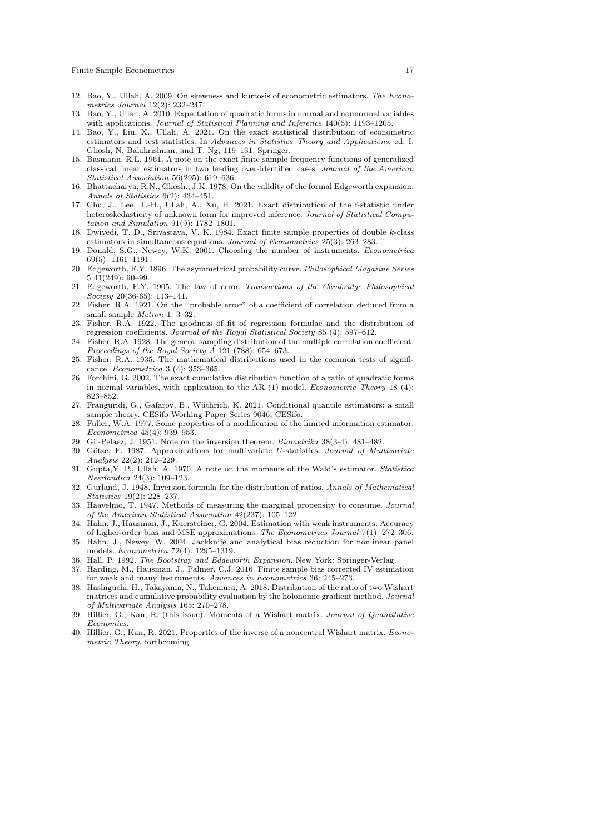- 12. Bao, Y., Ullah, A. 2009. On skewness and kurtosis of econometric estimators. The Econometrics Journal 12(2): 232–247.
- 13. Bao, Y., Ullah, A. 2010. Expectation of quadratic forms in normal and nonnormal variables with applications. Journal of Statistical Planning and Inference 140(5): 1193-1205.
- 14. Bao, Y., Liu, X., Ullah, A. 2021. On the exact statistical distribution of econometric estimators and test statistics. In Advances in Statistics–Theory and Applications, ed. I. Ghosh, N. Balakrishnan, and T. Ng, 119–131. Springer.
- 15. Basmann, R.L. 1961. A note on the exact finite sample frequency functions of generalized classical linear estimators in two leading over-identified cases. Journal of the American Statistical Association 56(295): 619–636.
- 16. Bhattacharya, R.N., Ghosh., J.K. 1978. On the validity of the formal Edgeworth expansion. Annals of Statistics 6(2): 434–451.
- 17. Chu, J., Lee, T.-H., Ullah, A., Xu, H. 2021. Exact distribution of the f-statistic under heteroskedasticity of unknown form for improved inference. Journal of Statistical Computation and Simulation 91(9): 1782–1801.
- 18. Dwivedi, T. D., Srivastava, V. K. 1984. Exact finite sample properties of double k-class estimators in simultaneous equations. Journal of Econometrics 25(3): 263–283.
- 19. Donald, S.G., Newey, W.K. 2001. Choosing the number of instruments. Econometrica 69(5): 1161–1191.
- 20. Edgeworth, F.Y. 1896. The asymmetrical probability curve. Philosophical Magazine Series 5 41(249): 90–99.
- 21. Edgeworth, F.Y. 1905. The law of error. Transactions of the Cambridge Philosophical Society 20(36-65): 113–141.
- 22. Fisher, R.A. 1921. On the "probable error" of a coefficient of correlation deduced from a small sample Metron 1: 3–32.
- 23. Fisher, R.A. 1922. The goodness of fit of regression formulae and the distribution of regression coefficients. Journal of the Royal Statistical Society 85 (4): 597–612.
- 24. Fisher, R.A. 1928. The general sampling distribution of the multiple correlation coefficient. Proceedings of the Royal Society A 121 (788): 654–673.
- 25. Fisher, R.A. 1935. The mathematical distributions used in the common tests of significance. Econometrica 3 (4): 353–365.
- 26. Forchini, G. 2002. The exact cumulative distribution function of a ratio of quadratic forms in normal variables, with application to the AR  $(1)$  model. *Econometric Theory* 18  $(4)$ : 823–852.
- 27. Franguridi, G., Gafarov, B., Wüthrich, K. 2021. Conditional quantile estimators: a small sample theory. CESifo Working Paper Series 9046, CESifo.
- 28. Fuller, W.A. 1977. Some properties of a modification of the limited information estimator. Econometrica 45(4): 939–953.
- 29. Gil-Pelaez, J. 1951. Note on the inversion theorem. Biometrika 38(3-4): 481–482.
- 30. Götze, F. 1987. Approximations for multivariate U-statistics. Journal of Multivariate Analysis 22(2): 212–229.
- 31. Gupta,Y. P., Ullah, A. 1970. A note on the moments of the Wald's estimator. Statistica Neerlandica 24(3): 109–123.
- 32. Gurland, J. 1948. Inversion formula for the distribution of ratios. Annals of Mathematical Statistics 19(2): 228–237.
- 33. Haavelmo, T. 1947. Methods of measuring the marginal propensity to consume. Journal of the American Statistical Association 42(237): 105–122.
- 34. Hahn, J., Hausman, J., Kuersteiner, G. 2004. Estimation with weak instruments: Accuracy of higher-order bias and MSE approximations. The Econometrics Journal 7(1): 272–306.
- 35. Hahn, J., Newey, W. 2004. Jackknife and analytical bias reduction for nonlinear panel models. Econometrica 72(4): 1295–1319.
- 36. Hall, P. 1992. The Bootstrap and Edgeworth Expansion. New York: Springer-Verlag.
- 37. Harding, M., Hausman, J., Palmer, C.J. 2016. Finite sample bias corrected IV estimation for weak and many Instruments. Advances in Econometrics 36: 245–273.
- 38. Hashiguchi, H., Takayama, N., Takemura, A. 2018. Distribution of the ratio of two Wishart matrices and cumulative probability evaluation by the holonomic gradient method. Journal of Multivariate Analysis 165: 270–278.
- 39. Hillier, G., Kan, R. (this issue). Moments of a Wishart matrix. Journal of Quantitative Economics.
- 40. Hillier, G., Kan, R. 2021. Properties of the inverse of a noncentral Wishart matrix. Econometric Theory, forthcoming.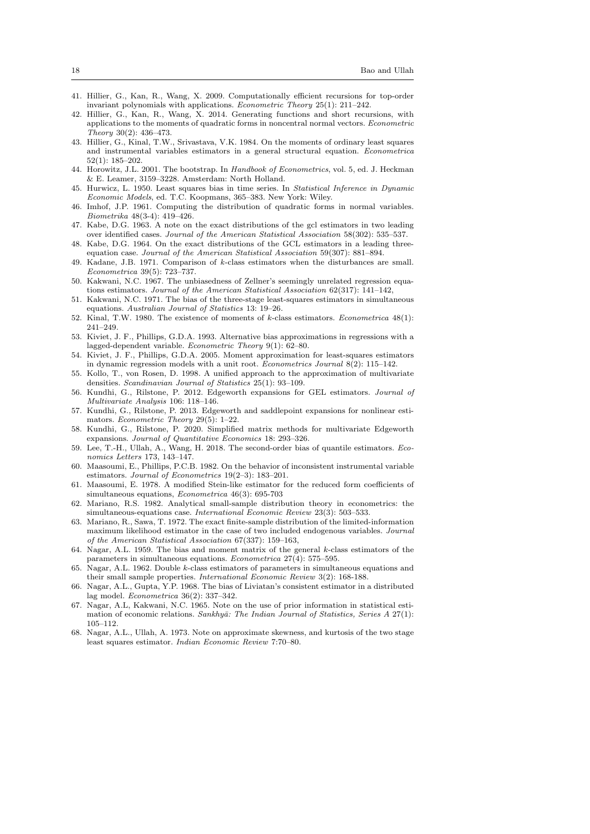- 41. Hillier, G., Kan, R., Wang, X. 2009. Computationally efficient recursions for top-order invariant polynomials with applications. Econometric Theory 25(1): 211–242.
- 42. Hillier, G., Kan, R., Wang, X. 2014. Generating functions and short recursions, with applications to the moments of quadratic forms in noncentral normal vectors. Econometric Theory 30(2): 436–473.
- 43. Hillier, G., Kinal, T.W., Srivastava, V.K. 1984. On the moments of ordinary least squares and instrumental variables estimators in a general structural equation. Econometrica 52(1): 185–202.
- 44. Horowitz, J.L. 2001. The bootstrap. In Handbook of Econometrics, vol. 5, ed. J. Heckman & E. Leamer, 3159–3228. Amsterdam: North Holland.
- 45. Hurwicz, L. 1950. Least squares bias in time series. In Statistical Inference in Dynamic Economic Models, ed. T.C. Koopmans, 365–383. New York: Wiley.
- 46. Imhof, J.P. 1961. Computing the distribution of quadratic forms in normal variables. Biometrika 48(3-4): 419–426.
- 47. Kabe, D.G. 1963. A note on the exact distributions of the gcl estimators in two leading over identified cases. Journal of the American Statistical Association 58(302): 535–537.
- 48. Kabe, D.G. 1964. On the exact distributions of the GCL estimators in a leading threeequation case. Journal of the American Statistical Association 59(307): 881–894.
- 49. Kadane, J.B. 1971. Comparison of k-class estimators when the disturbances are small. Econometrica 39(5): 723–737.
- 50. Kakwani, N.C. 1967. The unbiasedness of Zellner's seemingly unrelated regression equations estimators. Journal of the American Statistical Association 62(317): 141–142,
- 51. Kakwani, N.C. 1971. The bias of the three-stage least-squares estimators in simultaneous equations. Australian Journal of Statistics 13: 19–26.
- 52. Kinal, T.W. 1980. The existence of moments of k-class estimators. Econometrica 48(1): 241–249.
- 53. Kiviet, J. F., Phillips, G.D.A. 1993. Alternative bias approximations in regressions with a lagged-dependent variable. Econometric Theory 9(1): 62–80.
- 54. Kiviet, J. F., Phillips, G.D.A. 2005. Moment approximation for least-squares estimators in dynamic regression models with a unit root. Econometrics Journal 8(2): 115–142.
- 55. Kollo, T., von Rosen, D. 1998. A unified approach to the approximation of multivariate densities. Scandinavian Journal of Statistics 25(1): 93–109.
- 56. Kundhi, G., Rilstone, P. 2012. Edgeworth expansions for GEL estimators. Journal of Multivariate Analysis 106: 118–146.
- 57. Kundhi, G., Rilstone, P. 2013. Edgeworth and saddlepoint expansions for nonlinear estimators. Econometric Theory 29(5): 1–22.
- 58. Kundhi, G., Rilstone, P. 2020. Simplified matrix methods for multivariate Edgeworth expansions. Journal of Quantitative Economics 18: 293–326.
- 59. Lee, T.-H., Ullah, A., Wang, H. 2018. The second-order bias of quantile estimators. Economics Letters 173, 143–147.
- 60. Maasoumi, E., Phillips, P.C.B. 1982. On the behavior of inconsistent instrumental variable estimators. Journal of Econometrics 19(2–3): 183–201.
- 61. Maasoumi, E. 1978. A modified Stein-like estimator for the reduced form coefficients of simultaneous equations, Econometrica 46(3): 695-703
- 62. Mariano, R.S. 1982. Analytical small-sample distribution theory in econometrics: the simultaneous-equations case. International Economic Review 23(3): 503–533.
- 63. Mariano, R., Sawa, T. 1972. The exact finite-sample distribution of the limited-information maximum likelihood estimator in the case of two included endogenous variables. Journal of the American Statistical Association 67(337): 159–163,
- 64. Nagar, A.L. 1959. The bias and moment matrix of the general k-class estimators of the parameters in simultaneous equations. Econometrica 27(4): 575–595.
- 65. Nagar, A.L. 1962. Double k-class estimators of parameters in simultaneous equations and their small sample properties. International Economic Review 3(2): 168-188.
- 66. Nagar, A.L., Gupta, Y.P. 1968. The bias of Liviatan's consistent estimator in a distributed lag model. Econometrica 36(2): 337–342.
- 67. Nagar, A.L, Kakwani, N.C. 1965. Note on the use of prior information in statistical estimation of economic relations. Sankhyā: The Indian Journal of Statistics, Series A  $27(1)$ : 105–112.
- 68. Nagar, A.L., Ullah, A. 1973. Note on approximate skewness, and kurtosis of the two stage least squares estimator. Indian Economic Review 7:70–80.